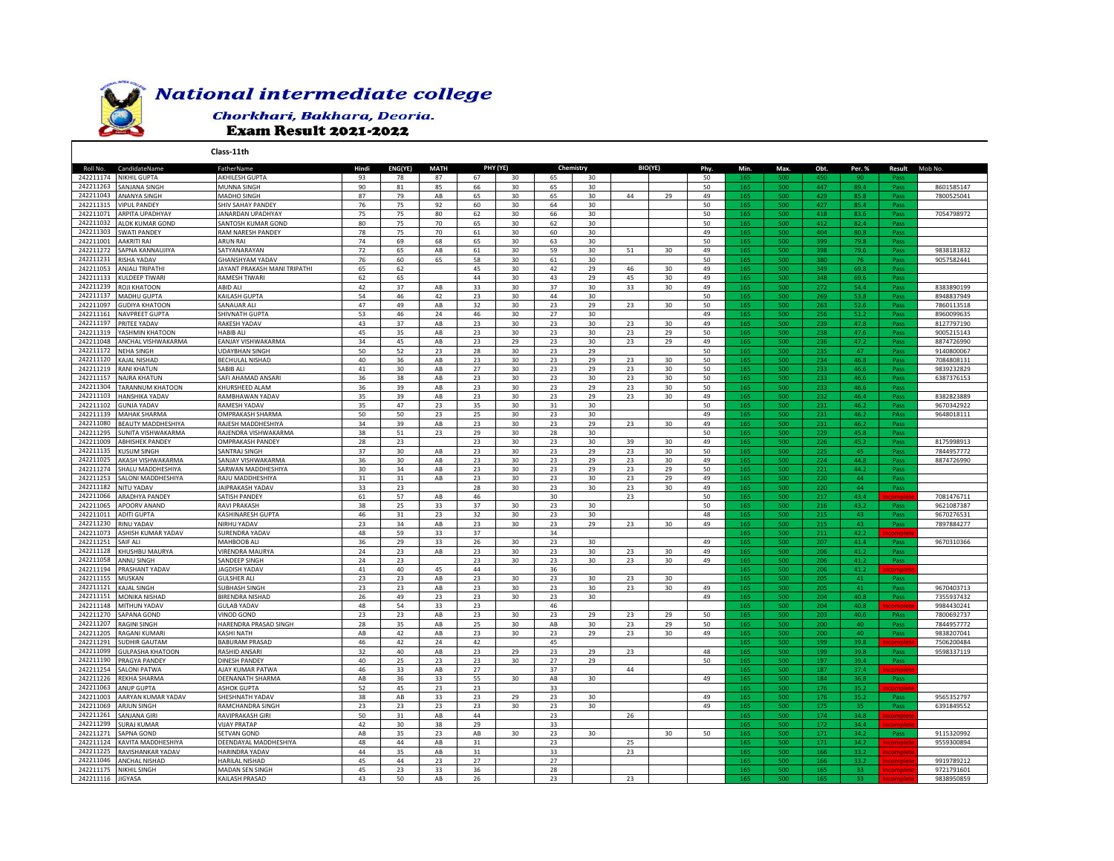

## **National intermediate college**

## Chorkhari, Bakhara, Deoria. **Exam Result 2021-2022**

Roll No. CandidateName FatherName **Hindi ENG(YE) MATH Phy. Min. Max. Obt. Per. % Result** Mob No. 242211174 NIKHIL GUPTA AKHILESH GUPTA 93 78 87 67 30 65 30 50 165 500 450 90 Pass 242211263 SANJANASINGH MUNNA SINGH NUNNA SINGH SI 90 81 85 66 30 65 30 1 50 30 165 500 447 89.4 Pass 8601585147 242211043 |ANANYA SINGH MADHO SINGH 7 7800525041 7 242211315 VIPUL PANDEY SHIV SAHAY PANDEY 5 60 30 64 30 50 165 500 427 85.4 Pass 242211071 <mark>ARPITA UPADHYAY JANARDAN UPADHYAY 75 75 80 62 30 66 30 1 50 30 165 500 418 83.6 Pass 7054798972</mark> 242211032 |ALOK KUMAR GOND SANTOSH KUMAR GOND | 80 | 75 | 70 | 65 | 30 | 62 | 30 | | | 50 | 165 | 500 | 412 | 82.4 | Pass 242211303 SWATIPANDEY RAM NARESH PANDEY 75 | 70 | 61 | 30 | 60 | 30 | | 49 | 165 | 500 | 404 | 80.8 | Pass 242211001 AAKRITI RAI ARUN RAI 74 69 68 65 30 63 30 50 165 500 399 79.8 Pass 242211272 SAPNA KANNAUJIYA SATYANARAYAN 72 65 AB 61 30 59 30 51 30 49 165 500 398 79.6 Pass 9838181832 242211231 RISHA YADAV GHANSHYAM YADAV 76 60 65 58 30 61 30 50 165 500 380 76 Pass 9057582441 242211053 ANJALITRIPATHI JAYANT PRAKASH MANI TRIPATHI | 65 | 62 | | 45 | 30 | 42 | 29 | 46 | 30 | 49 | 500 | 349 | 69.8 | Pass 242211133 KULDEEP TIWARI RAMESH TIWARI 62 65 44 30 43 29 45 30 49 165 500 348 69.6 Pass 242211239 ROJI KHATOON ABID ALI 42 37 AB 33 30 37 30 33 30 49 165 500 272 54.4 Pass 8383890199 242211137 |MADHUGUPTA | KAILASH GUPTA | S4 | 46 | 42 | 23 | 30 | 44 | 30 | | | | 50 | 165 | 500 | 269 | 53.8 | Pass | 8948837949 242211097 <mark>GUDIYA KHATOON SANAUAR ALI 47 | 49 | AB 32 | 30 | 23 | 29 | 23 | 30 | 50 | 165 | 500 | 263 | 52.6 | Pass | 7860113518</mark> 242211161 NAVPREET GUPTA SHIVNATH GUPTA 53 46 24 46 30 27 30 49 165 500 256 51.2 Pass 8960099635 242211197 PRITEE YADAV RAKESH YADAV 37 AB 23 30 23 30 49 165 500 239 47.8 Pass 8127797190 242211319 |YASHMIN KHATOON |HABIBALI | 45 | 35 | AB | 23 | 30 | 23 | 23 | 29 | 50 | 165 | 500 | 238 | 47.6 | Pass | 9005215143 242211048 ANCHAL VISHWAKARMA EANJAY VISHWAKARMA 34 45 AB 23 29 23 30 23 29 49 165 500 236 47.2 Pass 8874726990 242211172 NEHA SINGH UDAYBHAN SINGH 50 52 23 28 30 23 29 50 165 500 235 47 Pass 9140800067 242211120 KAJAL NISHAD BECHULAL NISHAD 40 36 AB 23 30 23 29 23 30 50 165 500 234 46.8 Pass 7084808131 242211219 RANI KHATUN SABIB ALI 41 30 AB 27 30 23 29 23 30 50 165 500 233 46.6 Pass 9839232829 242211157 |NAJRA KHATUN SAFI AHAMAD ANSARI | 36 | 38 | AB | 23 | 30 | 23 | 30 | 23 | 30 | 50 | 165 | 500 | 233 | 46.6 | Pass | 6387376153 242211304 |TARANNUM KHATOON |KHURSHEED ALAM | 36 | 39 | AB | 23 | 30 | 23 | 29 | 23 | 30 | 50 | <mark>165 | 500 | 233</mark> | 46.6 | Pass 242211103 |HANSHIKA YADAV RAMBHAWAN YADAV | 35 | 39 | AB | 23 | 30 | 23 | 29 | 23 | 30 | 49 | 165 | 500 | 232 | 46.4 | Pass | 8382823889 242211102 GUNJA YADAV RAMESH YADAV 35 47 23 35 30 31 30 50 165 500 231 46.2 Pass 9670342922 242211139 MAHAK SHARMA OMPRAKASH SHARMA 50 50 23 25 30 23 30 49 165 500 231 46.2 PAss 9648018111 242211080 BEAUTYMADDHESHIYA RAJESH MADDHESHIYA | 34 | 39 | AB | 23 | 30 | 23 | 29 | 23 | 30 | 49 | 165 | 500 | 231 | 46.2 | Pass 242211295 SUNITA VISHWAKARMA RAJENDRA VISHWAKARMA 38 51 23 29 30 28 30 50 165 500 229 45.8 Pass 242211009 ABHISHEK PANDEY OMPRAKASH PANDEY 28 23 23 30 23 30 39 30 49 165 500 226 45.2 Pass 8175998913 242211135 KUSUM SINGH SANTRAJ SINGH 37 30 AB 23 23 23 30 25 7844957772 242211025 AKASH VISHWAKARMA SANJAY VISHWAKARMA | 36 | 30 | AB | 23 | 30 | 23 | 29 | 23 | 30 | 49 | 165 | 500 | 224 | 44.8 | Pass | 8874726990 242211274 <mark>SHALU MADDHESHIYA SARWAN MADDHESHIYA | 30 | 34 | AB | 23 | 30 | 23 | 29 | 23 | 29 | 50 | 165 | 500 | 221 | 44.2 | Pass</mark> 242211253 SALONI MADDHESHIYA RAJU MADDHESHIYA | 31 31 AB 23 30 23 30 23 29 49 165 500 220 44<br>242211182 NITU YADAV | JAIPRAKASH YADAV | 33 23 23 28 30 23 30 23 30 23 30 49 165 500 220 44 242211182 NITU YADAV JAIPRAKASH YADAV 33 23 28 30 23 30 23 30 49 165 500 220 44 Pass 242211066 ARADHYA PANDEY SATISH PANDEY 61 57 AB 46 30 23 50 165 500 217 43.4 Incomplete 7081476711 242211065 APOORV ANAND RAVI PRAKASH 38 25 33 37 30 23 30 50 165 500 216 43.2 Pass 9621087387 242211011 ADITI GUPTA KASHINARESH GUPTA 46 31 23 32 30 23 30 48 165 500 215 43 Pass 9670276531 242211230 RINU YADAV NIRHU YADAV 34 AB 23 30 23 30 49 165 500 215 43 Pass 7897884277 242211073 ASHISH KUMAR YADAV SURENDRA YADAV | 48 | 59 | 33 | 37 | | | 34 | | | | | | | | | 165 | 500 | 211 | 42.2 <mark>Incomplete</mark> 242211251 SAIF ALI MAHBOOB ALI 36 29 33 26 30 23 30 49 165 500 207 41.4 Pass 9670310366 242211128 KHUSHBU MAURYA VIRENDRA MAURYA 24 23 AB 23 30 23 30 23 30 49 165 500 206 41.2 Pass 242211058 ANNU SINGH SANDEEP SINGH 23 30 23 30 23 30 49 165 500 206 41.2 Pass 242211194 PRASHANT YADAV JAGDISH YADAV | 41 | 40 | 45 | 44 | | 36 | | | | | 165 | 500 | 206 | 41.2 <mark>| Incomplete</mark> 242211155 MUSKAN GULSHER ALI 23 23 AB 23 30 23 30 23 30 165 500 205 41 Pass 242211121 KAJAL SINGH SUBHASH SINGH 23 23 AB 23 30 23 30 23 30 49 165 500 205 41 Pass 9670403713 242211151 <mark>MONIKA NISHAD BIRENDRA NISHAD 26 49 23 23 30 23 30 4 49 49 165 500 204 40.8 Pass 7355937432</mark> 242211148 MITHUN YADAV GULAB YADAV 48 54 33 23 46 165 500 204 40.8 Incomplete 9984430241 242211270 SAPANA GOND VINOD GOND 23 23 AB 23 30 23 29 23 29 50 165 500 203 40.6 PAss 7800692737 242211207 RAGINISINGH HARENDRA PRASAD SINGH | 28 | 35 | AB | 25 | 30 | AB | 30 | 23 | 29 | 50 | 165 | 500 | 200 | 40 | Pass | 7844957772 242211205 RAGANI KUMARI KASHI NATH AB 42 AB 23 30 23 29 23 30 49 165 500 200 40 Pass 9838207041 242211291 SUDHIR GAUTAM BABURAM PRASAD 46 42 24 42 45 165 500 199 39.8 Incomplete 7506200484 242211099 GULPASHA KHATOON RASHID ANSARI 32 40 AB 23 29 23 29 23 48 165 500 199 39.8 Pass 9598337119 242211190 PRAGYA PANDEY | DINESH PANDEY | 40 | 25 | 23 | 23 | 30 | 27 | 29 | | | | 50 <mark>| 165 | 500 | 197 | 39.4 | Pass</mark> 242211254 SALONI PATWA AJAY KUMAR PATWA 46 33 AB 27 37 44 165 500 187 37.4 Incomplete 242211226 REKHA SHARMA DEENANATH SHARMA | AB | 36 | 33 | 55 | 30 | AB | 30 | | | 49 | 165 | 500 | 184 | 36.8 | Pass 242211063 ANUPGUPTA ASHOK GUPTA 52 | 45 | 23 | 23 | | 33 | | | | | 165 | 500 | 176 | 35.2 <mark>Incomplete</mark> 242211003 AARYAN KUMAR YADAV SHESHNATH YADAV 38 AB 33 23 29 23 30 49 165 500 176 35.2 Pass 9565352797 242211069 ARJUNSINGH RAMCHANDRA SINGH | 23 | 23 | 23 | 23 | 30 | 23 | 30 | | | 49 | 165 | 500 | 175 | 35 | Pass | 6391849552 242211261 SANJANA GIRI RAVIPRAKASH GIRI 50 31 AB 44 23 26 165 500 174 34.8 Incomplete 242211299 SURAJ KUMAR VIJAY PRATAP 42 30 38 29 33 165 500 172 34.4 Incomplete 242211271 SAPNAGOND SETVANGOND AB 33 AB 30 30 50 171 34.2 Pass 9115320992 242211124 KAVITAMADDHESHIYA DEENDAYALMADDHESHIYA | 48 | 44 | AB | 31 | 23 | 25 | 25 | 165 500 171 34.2 <mark>Incomplete</mark> 9559300894<br>242211225 RAVISHANKARYADAV |HARINDRAYADAV | 44 | 35 | AB | 31 | | 33 | | 23 | | 165 500 166 33. 242211225 RAVISHANKAR YADAV 242211046 <mark>ANCHAL NISHAD | HARILAL NISHAD | 45 | 44 | 23 | 27 | | | | | | | | | | | | 165 | 500 | 166 | 33.2 <mark>Incomplete</mark> 9919789212</mark> 242211175 |NIKHIL SINGH MADAN SEN SINGH 45 | 23 | 33 | 36 | 28 | | | | | 165 | 33 <mark>| Incomplete</mark> 9721791601 242211116 JIGYASA KAILASH PRASAD 43 50 AB 26 23 23 165 500 165 33 Incomplete 9838950859 **BIO(YE) Class-11th PHY (YE) Chemistry**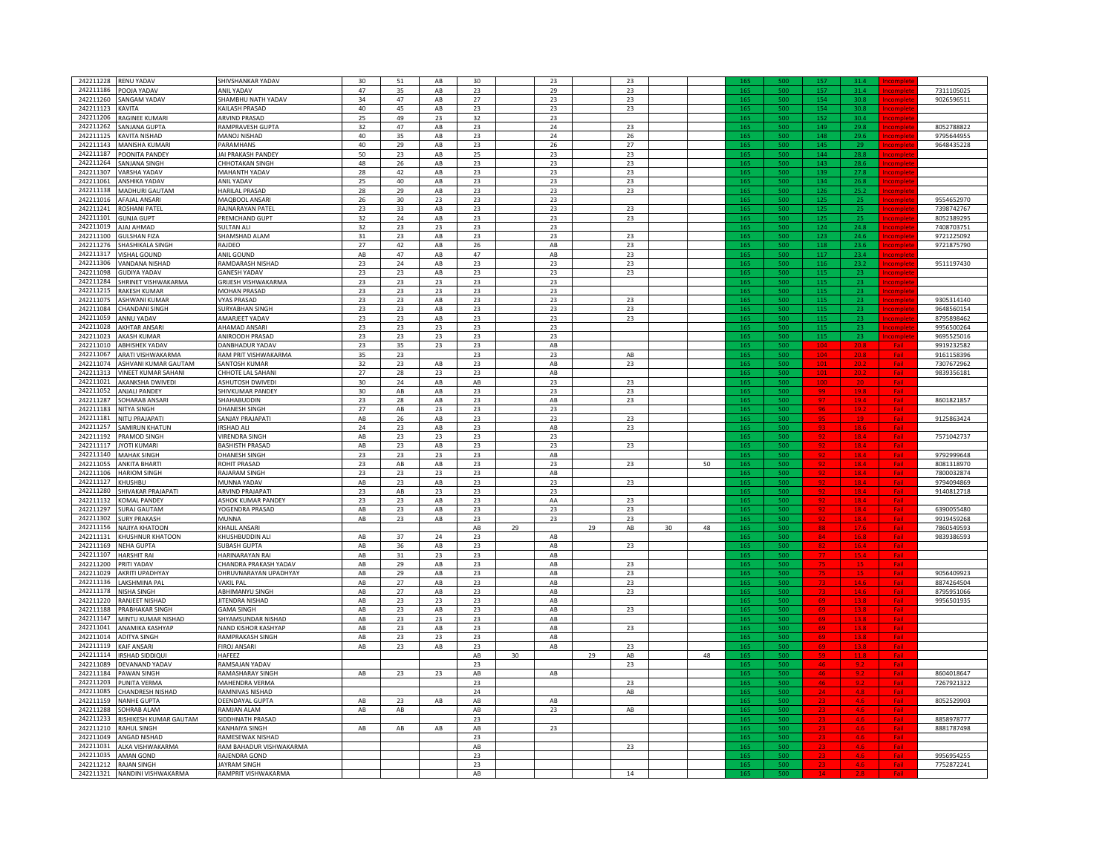| 242211228 RENU YADAV                 | SHIVSHANKAR YADAV       | 30            | 51                     | AB                     | 30            |    | 23                     |    | 23            |    |    |                 |     |                 |              |            |            |
|--------------------------------------|-------------------------|---------------|------------------------|------------------------|---------------|----|------------------------|----|---------------|----|----|-----------------|-----|-----------------|--------------|------------|------------|
| 242211186<br>POOJA YADAV             | <b>ANIL YADAV</b>       | 47            | 35                     | AB                     | 23            |    | 29                     |    | 23            |    |    |                 |     |                 |              |            | 7311105025 |
| 242211260<br><b>SANGAM YADAV</b>     | SHAMBHU NATH YADAV      | 34            | 47                     | AB                     | $27\,$        |    | 23                     |    | $23\,$        |    |    |                 |     | in di           | an i         |            | 9026596511 |
| 242211123                            | KAILASH PRASAD          | 40            | 45                     | AB                     | 23            |    | 23                     |    |               |    |    | 165             | śά  | 154             | an i         |            |            |
| KAVITA                               |                         |               |                        |                        |               |    |                        |    | 23            |    |    |                 |     |                 |              |            |            |
| RAGINEE KUMARI<br>242211206          | <b>ARVIND PRASAD</b>    | 25            | 49                     | 23                     | 32            |    | 23                     |    |               |    |    | 165             | s۵  | 15              | 30.4         |            |            |
| 242211262<br>SANJANA GUPTA           | RAMPRAVESH GUPTA        | 32            | 47                     | AB                     | 23            |    | 24                     |    | 23            |    |    | 165             |     | $14^{o}$        | 29.8         |            | 8052788822 |
| 242211125<br><b>KAVITA NISHAD</b>    | MANOJ NISHAD            | 40            | 35                     | AB                     | 23            |    | 24                     |    | 26            |    |    | 165             | 500 | 148             | 29.6         |            | 9795644955 |
|                                      |                         |               |                        |                        |               |    |                        |    |               |    |    |                 |     |                 |              |            |            |
| 242211143 MANISHA KUMARI             | <b>PARAMHANS</b>        | 40            | 29                     | AB                     | 23            |    | ${\bf 26}$             |    | $27\,$        |    |    | 165             | 500 | 145             | 29           |            | 9648435228 |
| 242211187 POONITA PANDEY             | JAI PRAKASH PANDEY      | 50            | 23                     | $\mathsf{AB}$          | 25            |    | 23                     |    | 23            |    |    | 165             | 500 | 144             | 28.8         |            |            |
|                                      |                         |               |                        |                        |               |    |                        |    |               |    |    |                 |     |                 |              |            |            |
| 242211264<br>SANJANA SINGH           | CHHOTAKAN SINGH         | 48            | 26                     | AB                     | 23            |    | 23                     |    | 23            |    |    | 165             | 500 | 143             | 28.6         |            |            |
| 242211307<br>VARSHA YADAV            | MAHANTH YADAV           | 28            | 42                     | $\mathsf{A}\mathsf{B}$ | 23            |    | 23                     |    | 23            |    |    | 165             | 500 | 139             | 27.8         |            |            |
| 242211061<br>ANSHIKA YADAV           | ANIL YADAV              | 25            | 40                     | $\mathsf{AB}$          | 23            |    | 23                     |    | 23            |    |    | 165             | 500 | 134             | 26.8         |            |            |
|                                      |                         |               |                        |                        |               |    |                        |    |               |    |    |                 |     |                 |              |            |            |
| 242211138<br><b>MADHURI GAUTAM</b>   | <b>HARILAL PRASAD</b>   | 28            | 29                     | AB                     | 23            |    | 23                     |    | 23            |    |    | 165             | 500 | 126             | 25.2         |            |            |
| 242211016<br><b>AFAJAL ANSARI</b>    | MAQBOOL ANSARI          | 26            | 30                     | 23                     | 23            |    | 23                     |    |               |    |    | 165             | 500 | 125             | 25           |            | 9554652970 |
| 242211241<br>OSHANI PATEL            | RAJNARAYAN PATEL        | 23            | 33                     | AB                     | 23            |    | 23                     |    | 23            |    |    | 165             | 500 | 125             | 25           |            | 7398742767 |
|                                      |                         |               |                        |                        |               |    |                        |    |               |    |    |                 |     |                 |              |            |            |
| <b>GUNJA GUPT</b><br>242211101       | PREMCHAND GUPT          | 32            | 24                     | AB                     | 23            |    | 23                     |    | 23            |    |    | 165             | 50  |                 | 25           |            | 8052389295 |
| 242211019<br>AJAJ AHMAD              | SULTAN ALI              | 32            | 23                     | 23                     | 23            |    | 23                     |    |               |    |    |                 |     |                 | 24.3         |            | 7408703751 |
| 242211100<br><b>GULSHAN FIZA</b>     | SHAMSHAD ALAM           | $31\,$        | 23                     | AB                     | 23            |    | 23                     |    | 23            |    |    | 16              |     | 12 <sub>3</sub> | 24.1         |            | 9721225092 |
|                                      |                         |               |                        |                        |               |    |                        |    |               |    |    |                 | ξñ  |                 |              |            |            |
| 242211276<br>SHASHIKALA SINGH        | RAJDEO                  | 27            | 42                     | AB                     | $26\,$        |    | $\mathsf{AB}$          |    | $23\,$        |    |    | 16 <sup>5</sup> |     | 118             | 23.6         |            | 9721875790 |
| 242211317<br><b>VISHAL GOUND</b>     | ANIL GOUND              | AB            | 47                     | AB                     | 47            |    | AB                     |    | 23            |    |    | 165             | 500 | 117             | 23.4         |            |            |
| 242211306<br>VANDANA NISHAD          | RAMDARASH NISHAD        | 23            | 24                     | AB                     | 23            |    | 23                     |    | 23            |    |    |                 |     | 116             | 23.2         |            | 9511197430 |
|                                      |                         |               |                        |                        |               |    |                        |    |               |    |    |                 |     |                 |              |            |            |
| 242211098<br><b>GUDIYA YADAV</b>     | <b>GANESH YADAV</b>     | 23            | 23                     | AB                     | 23            |    | 23                     |    | 23            |    |    | 165             | 500 | 115             | 23           |            |            |
| 242211284<br>SHRINET VISHWAKARMA     | GRIJESH VISHWAKARMA     | 23            | 23                     | 23                     | 23            |    | 23                     |    |               |    |    | 165             | 500 | 115             | 23           |            |            |
| 242211215 RAKESH KUMAR               | MOHAN PRASAD            | 23            | 23                     | 23                     | 23            |    | 23                     |    |               |    |    | 165             | 500 | 115             | 23           |            |            |
|                                      |                         |               |                        |                        |               |    |                        |    |               |    |    |                 |     |                 |              |            |            |
| 242211075 ASHWANI KUMAR              | <b>VYAS PRASAD</b>      | 23            | 23                     | $\mathsf{A}\mathsf{B}$ | 23            |    | 23                     |    | 23            |    |    | 165             | 500 | 115             | 23           |            | 9305314140 |
| 242211084 CHANDANI SINGH             | SURYABHAN SINGH         | 23            | 23                     | $\mathsf{AB}$          | 23            |    | 23                     |    | 23            |    |    | 165             | 500 | 115             | 23           |            | 9648560154 |
| 242211059<br>ANNU YADAV              | AMARJEET YADAV          | 23            | 23                     | AB                     | 23            |    | 23                     |    | 23            |    |    | 165             | 500 | 115             |              |            | 8795898462 |
|                                      |                         |               |                        |                        |               |    |                        |    |               |    |    |                 |     |                 | 23           |            |            |
| 242211028<br><b>AKHTAR ANSARI</b>    | AHAMAD ANSARI           | 23            | 23                     | 23                     | 23            |    | 23                     |    |               |    |    | 165             | 500 | 115             | 23           |            | 9956500264 |
| 242211023<br><b>AKASH KUMAR</b>      | ANIROODH PRASAD         | 23            | 23                     | 23                     | 23            |    | 23                     |    |               |    |    | 165             | 500 | 115             | 23           |            | 9695525016 |
| 242211010<br><b>ABHISHEK YADAV</b>   | DANBHADUR YADAV         | 23            | 35                     | 23                     | 23            |    | $\mathsf{AB}$          |    |               |    |    | 165             | 500 |                 |              |            | 9919232582 |
|                                      |                         |               |                        |                        |               |    |                        |    |               |    |    |                 |     |                 |              |            |            |
| 242211067<br>ARATI VISHWAKARMA       | RAM PRIT VISHWAKARMA    | 35            | 23                     |                        | 23            |    | 23                     |    | $\mathsf{AB}$ |    |    | 165             |     |                 |              |            | 9161158396 |
| 242211074<br>ASHVANI KUMAR GAUTAM    | SANTOSH KUMAR           | 32            | 23                     | AB                     | 23            |    | $\mathsf{AB}$          |    | 23            |    |    |                 |     |                 |              |            | 7307672962 |
|                                      |                         | 27            |                        |                        |               |    |                        |    |               |    |    | 165             | sor |                 |              |            |            |
| 242211313<br>VINEET KUMAR SAHANI     | CHHOTE LAL SAHANI       |               | 28                     | 23                     | 23            |    | AB                     |    |               |    |    |                 |     |                 |              |            | 9839356181 |
| 242211021<br><b>AKANKSHA DWIVEDI</b> | ASHUTOSH DWIVEDI        | 30            | 24                     | AB                     | AB            |    | 23                     |    | 23            |    |    | 165             |     |                 |              | Fai        |            |
| 242211052<br><b>ANJALI PANDEY</b>    | SHIVKUMAR PANDEY        | 30            | $\mathsf{AB}$          | AB                     | 23            |    | 23                     |    | 23            |    |    | 165             | sor |                 |              |            |            |
| 242211287                            |                         |               |                        |                        |               |    |                        |    |               |    |    |                 |     |                 |              |            |            |
| <b>SOHARAB ANSARI</b>                | SHAHABUDDIN             | 23            | 28                     | AB                     | 23            |    | AB                     |    | 23            |    |    |                 |     |                 |              |            | 8601821857 |
| 242211183<br><b>NITYA SINGH</b>      | <b>DHANESH SINGH</b>    | 27            | $\mathsf{AB}$          | 23                     | 23            |    | 23                     |    |               |    |    | 165             | 500 |                 |              |            |            |
| 242211181<br>NITU PRAJAPATI          | SANJAY PRAJAPATI        | AB            | 26                     | AB                     | 23            |    | 23                     |    | 23            |    |    | 165             | 500 |                 |              |            | 9125863424 |
|                                      |                         |               |                        |                        |               |    |                        |    |               |    |    |                 |     |                 |              |            |            |
| 242211257 SAMIRUN KHATUN             | IRSHAD ALL              | 24            | 23                     | AB                     | 23            |    | AB                     |    | 23            |    |    | 165             | 500 | 93              | <u> 18.6</u> | <b>Fai</b> |            |
| 242211192 PRAMOD SINGH               | <b>VIRENDRA SINGH</b>   | AB            | 23                     | 23                     | 23            |    | 23                     |    |               |    |    | 165             | 500 | 92              | 18.4         | Fai        | 7571042737 |
| 242211117 JYOTI KUMARI               | <b>BASHISTH PRASAD</b>  | AB            | 23                     | $\mathsf{AB}$          | 23            |    | 23                     |    | 23            |    |    | 165             | 500 |                 |              |            |            |
|                                      |                         |               |                        |                        |               |    |                        |    |               |    |    |                 |     |                 | 18.4         |            |            |
| 242211140<br><b>MAHAK SINGH</b>      | DHANESH SINGH           | 23            | 23                     | 23                     | 23            |    | AB                     |    |               |    |    | 165             | 500 |                 | 18.4         |            | 9792999648 |
| 242211055<br><b>ANKITA BHARTI</b>    | ROHIT PRASAD            | 23            | AB                     | AB                     | 23            |    | 23                     |    | 23            |    | 50 | 165             | 500 |                 |              |            | 8081318970 |
|                                      |                         |               |                        |                        |               |    |                        |    |               |    |    |                 |     |                 | <u>18.4</u>  |            |            |
| 242211106<br><b>HARIOM SINGH</b>     | RAJARAM SINGH           | 23            | 23                     | 23                     | 23            |    | AB                     |    |               |    |    | 165             | 500 |                 |              |            | 7800032874 |
| 242211127<br>HUSHBU                  | MUNNA YADAV             | AB            | 23                     | AB                     | 23            |    | 23                     |    | 23            |    |    | 165             | 500 |                 |              |            | 9794094869 |
| 242211280<br>HIVAKAR PRAJAPATI       | ARVIND PRAJAPAT         | 23            | AB                     | 23                     | 23            |    | 23                     |    |               |    |    | 165             |     |                 |              |            | 9140812718 |
|                                      |                         |               |                        |                        |               |    |                        |    |               |    |    |                 |     |                 |              |            |            |
| 242211132<br><b>KOMAL PANDEY</b>     | ASHOK KUMAR PANDEY      | 23            | 23                     | AB                     | 23            |    | AA                     |    | 23            |    |    |                 |     |                 |              |            |            |
| 242211297<br><b>SURAJ GAUTAM</b>     | YOGENDRA PRASAD         | AB            | 23                     | AB                     | 23            |    | 23                     |    | 23            |    |    |                 |     |                 | ø            |            | 6390055480 |
| 242211302<br><b>SURY PRAKASH</b>     | MUNNA                   | AB            | 23                     | AB                     | 23            |    | 23                     |    | 23            |    |    |                 |     |                 | 18           |            | 9919459268 |
| 242211156                            |                         |               |                        |                        |               | 29 |                        | 29 |               |    |    | 16              | sor |                 |              |            |            |
| NAJIYA KHATOON                       | KHALIL ANSAR            |               |                        |                        | $\mathsf{AB}$ |    |                        |    | $\mathsf{AB}$ | 30 | 48 |                 |     |                 |              |            | 7860549593 |
| KHUSHNUR KHATOON<br>242211131        | KHUSHBUDDIN AL          | AB            | 37                     | 24                     | 23            |    | AB                     |    |               |    |    | 16 <sup></sup>  | 500 | 84              | 16.8         | Fail       | 9839386593 |
| 242211169<br><b>NEHA GUPTA</b>       | SUBASH GUPTA            | AB            | 36                     | AB                     | 23            |    | AB                     |    | 23            |    |    |                 | sor |                 |              | Fai        |            |
|                                      |                         |               |                        |                        |               |    |                        |    |               |    |    |                 |     |                 |              |            |            |
| 242211107<br><b>HARSHIT RAI</b>      | <b>HARINARAYAN RAI</b>  | AB            | 31                     | 23                     | 23            |    | $\mathsf{AB}$          |    |               |    |    | 165             | 500 |                 |              |            |            |
| 242211200 PRITI YADAV                | CHANDRA PRAKASH YADAV   | AB            | 29                     | AB                     | 23            |    | $\mathsf{A}\mathsf{B}$ |    | 23            |    |    | 165             | 500 |                 |              | Fail       |            |
| 242211029 AKRITI UPADHYAY            | DHRUVNARAYAN UPADHYAY   | AB            | 29                     | AB                     | 23            |    | $\mathsf{AB}$          |    | 23            |    |    | 165             | 500 |                 |              | Fai        | 9056409923 |
|                                      |                         |               |                        |                        |               |    |                        |    |               |    |    |                 |     |                 |              |            |            |
| 242211136 LAKSHMINA PAL              | <b>VAKIL PAL</b>        | AB            | 27                     | AB                     | 23            |    | $\mathsf{AB}$          |    | 23            |    |    | 165             | 500 |                 |              |            | 8874264504 |
| 242211178 NISHA SINGH                | ABHIMANYU SINGH         | AB            | 27                     | AB                     | 23            |    | AB                     |    | 23            |    |    | 165             | 500 |                 |              |            | 8795951066 |
| 242211220<br><b>RANIFFT NISHAD</b>   | JITENDRA NISHAD         | AB            | 23                     | 23                     | 23            |    | $\mathsf{AB}$          |    |               |    |    | 165             | 500 |                 |              |            | 9956501935 |
| 242211188<br>PRABHAKAR SINGH         | <b>GAMA SINGH</b>       | AB            | 23                     | AB                     | 23            |    | AB                     |    | 23            |    |    | 165             |     |                 |              |            |            |
|                                      |                         |               |                        |                        |               |    |                        |    |               |    |    |                 | 500 |                 |              |            |            |
| 242211147<br>MINTU KUMAR NISHAD      | SHYAMSUNDAR NISHAD      | AB            | 23                     | 23                     | 23            |    | AB                     |    |               |    |    | 165             | 500 |                 |              |            |            |
| 242211041<br>ANAMIKA KASHYAP         | NAND KISHOR KASHYAP     | AB            | 23                     | AB                     | 23            |    | $\mathsf{AB}$          |    | 23            |    |    | 165             | 500 |                 |              |            |            |
|                                      |                         |               |                        |                        |               |    |                        |    |               |    |    | 165             | 500 |                 |              |            |            |
| 242211014<br><b>ADITYA SINGH</b>     | RAMPRAKASH SINGH        | AB            | 23                     | 23                     | 23            |    | AB                     |    |               |    |    |                 |     |                 |              |            |            |
| 242211119<br><b>KAIF ANSARI</b>      | <b>FIROJ ANSARI</b>     | AB            | 23                     | AB                     | 23            |    | $\mathsf{AB}$          |    | 23            |    |    |                 |     |                 |              |            |            |
| 242211114<br>IRSHAD SIDDIQUI         | HAFEEZ                  |               |                        |                        | $\mathsf{AB}$ | 30 |                        | 29 | AB            |    | 48 |                 |     |                 | 11.1         |            |            |
|                                      |                         |               |                        |                        |               |    |                        |    |               |    |    | 16              | śά  |                 | $\alpha$ .   |            |            |
| 242211089<br>DEVANAND YADAV          | RAMSAJAN YADAV          |               |                        |                        | 23            |    |                        |    | 23            |    |    |                 |     |                 |              | Fai        |            |
| 242211184<br><b>PAWAN SINGH</b>      | <b>RAMASHARAY SINGH</b> | AB            | 23                     | 23                     | AB            |    | $\mathsf{AB}$          |    |               |    |    | 165             | 500 |                 |              |            | 8604018647 |
| 242211203<br>PUNITA VERMA            | <b>MAHFNDRA VFRMA</b>   |               |                        |                        | 23            |    |                        |    | 23            |    |    |                 |     |                 |              |            | 7267921322 |
|                                      |                         |               |                        |                        |               |    |                        |    |               |    |    |                 |     |                 |              |            |            |
| 242211085<br>CHANDRESH NISHAD        | RAMNIVAS NISHAD         |               |                        |                        | 24            |    |                        |    | AB            |    |    | 165             | 500 |                 | 4.8          |            |            |
| 242211159<br><b>NANHE GUPTA</b>      | <b>DEENDAYAL GUPTA</b>  | AB            | 23                     | AB                     | AB            |    | AB                     |    |               |    |    | 165             | 500 |                 |              |            | 8052529903 |
| 242211288 SOHRAB ALAM                | RAMJAN ALAM             | $\mathsf{AB}$ | $\mathsf{A}\mathsf{B}$ |                        | $\mathsf{AB}$ |    | 23                     |    | ${\sf AB}$    |    |    | 165             | 500 |                 |              |            |            |
|                                      |                         |               |                        |                        |               |    |                        |    |               |    |    |                 |     |                 | 4.6          | <u>Fai</u> |            |
| 242211233 RISHIKESH KUMAR GAUTAM     | SIDDHNATH PRASAD        |               |                        |                        | 23            |    |                        |    |               |    |    | 165             | 500 |                 |              |            | 8858978777 |
| 242211210 RAHUL SINGH                | KANHAIYA SINGH          | AB            | AB                     | AB                     | AB            |    | 23                     |    |               |    |    | 165             | 500 |                 |              |            | 8881787498 |
| 242211049<br>ANGAD NISHAD            | <b>RAMESEWAK NISHAD</b> |               |                        |                        | 23            |    |                        |    |               |    |    | 165             | 500 |                 |              |            |            |
|                                      |                         |               |                        |                        |               |    |                        |    |               |    |    |                 |     |                 |              |            |            |
| 242211031<br>ALKA VISHWAKARMA        | RAM BAHADUR VISHWAKARMA |               |                        |                        | AB            |    |                        |    | 23            |    |    | 165             | 500 |                 |              |            |            |
| 242211035<br>AMAN GOND               | RAJENDRA GOND           |               |                        |                        | 23            |    |                        |    |               |    |    | 165             | 500 |                 |              |            | 9956954255 |
| 242211212 RAJAN SINGH                | JAYRAM SINGH            |               |                        |                        | 23            |    |                        |    |               |    |    | 165             | 500 |                 |              |            | 7752872241 |
|                                      |                         |               |                        |                        | AB            |    |                        |    | 14            |    |    |                 |     |                 |              |            |            |
| 242211321 NANDINI VISHWAKARMA        | RAMPRIT VISHWAKARMA     |               |                        |                        |               |    |                        |    |               |    |    |                 |     |                 |              |            |            |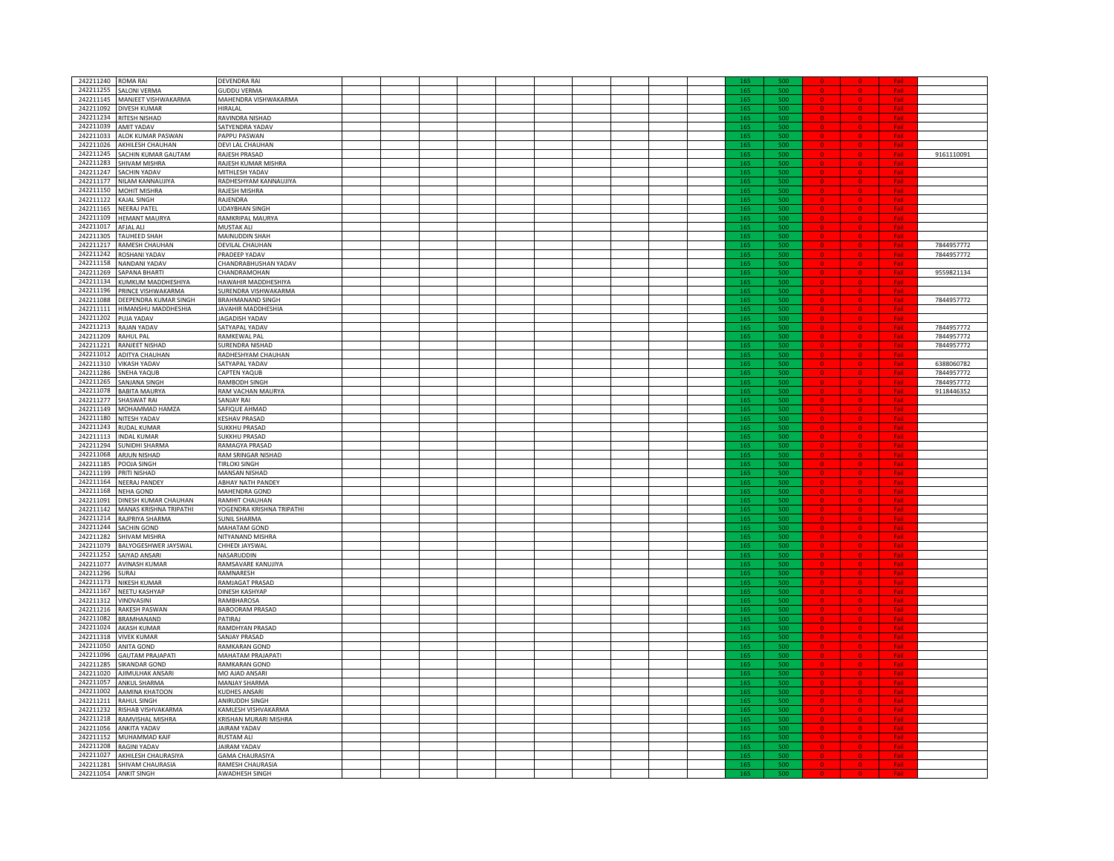| 242211240             |                              |                           |  |  |  |  |  |     |                     |  |            |            |
|-----------------------|------------------------------|---------------------------|--|--|--|--|--|-----|---------------------|--|------------|------------|
|                       | <b>ROMA RAI</b>              | DEVENDRA RAI              |  |  |  |  |  |     | sor                 |  |            |            |
| 242211255             | <b>SALONI VERMA</b>          | <b>GUDDU VERMA</b>        |  |  |  |  |  |     |                     |  |            |            |
| 242211145             | MANJEET VISHWAKARMA          | MAHENDRA VISHWAKARMA      |  |  |  |  |  | 165 | 500                 |  |            |            |
| 242211092             | DIVESH KUMAR                 | HIRALAL                   |  |  |  |  |  | 165 | sor                 |  |            |            |
| 242211234             | RITESH NISHAD                | RAVINDRA NISHAD           |  |  |  |  |  | 165 | 500                 |  |            |            |
| 242211039             | <b>AMIT YADAV</b>            | SATYENDRA YADAV           |  |  |  |  |  | 165 | 500                 |  |            |            |
|                       |                              |                           |  |  |  |  |  | 165 |                     |  |            |            |
|                       | 242211033 ALOK KUMAR PASWAN  | PAPPU PASWAN              |  |  |  |  |  |     | 500                 |  |            |            |
|                       | 242211026 AKHILESH CHAUHAN   | DEVI LAL CHAUHAN          |  |  |  |  |  | 165 | 500                 |  |            |            |
| 242211245             | SACHIN KUMAR GAUTAM          | RAJESH PRASAD             |  |  |  |  |  | 165 | 500                 |  |            | 9161110091 |
| 242211283             | SHIVAM MISHRA                | RAJESH KUMAR MISHRA       |  |  |  |  |  | 165 | 500                 |  |            |            |
| 242211247             | <b>ACHIN YADAV</b>           | MITHLESH YADAV            |  |  |  |  |  | 165 | 500                 |  |            |            |
| 242211177             | <b>NILAM KANNAUJIYA</b>      | RADHESHYAM KANNAUJIYA     |  |  |  |  |  | 165 | 500                 |  |            |            |
|                       |                              |                           |  |  |  |  |  |     |                     |  |            |            |
| 242211150             | <b><i>MOHIT MISHRA</i></b>   | RAJESH MISHRA             |  |  |  |  |  | 165 | 500                 |  |            |            |
| 242211122             | <b>AJAL SINGH</b>            | RAJENDRA                  |  |  |  |  |  |     | 500                 |  |            |            |
| 242211165             | <b>NEERAJ PATEL</b>          | <b>UDAYBHAN SINGH</b>     |  |  |  |  |  |     |                     |  | $E = 1$    |            |
| 242211109             | <b>HEMANT MAURYA</b>         | RAMKRIPAL MAURYA          |  |  |  |  |  |     | 500                 |  |            |            |
|                       |                              |                           |  |  |  |  |  |     | sor                 |  | <b>Fol</b> |            |
| 242211017             | AFJAL ALI                    | MUSTAK ALI                |  |  |  |  |  |     |                     |  |            |            |
| 242211305             | <b>TAUHEED SHAH</b>          | <b>MAINUDDIN SHAH</b>     |  |  |  |  |  | 165 | 500                 |  |            |            |
| 242211217             | RAMESH CHAUHAN               | DEVILAL CHAUHAN           |  |  |  |  |  | 165 | 500                 |  | Fail       | 7844957772 |
| 242211242             | ROSHANI YADAV                | PRADEEP YADAV             |  |  |  |  |  | 165 | 500                 |  |            | 7844957772 |
| 242211158             | <b>NANDANI YADAV</b>         | CHANDRABHUSHAN YADAV      |  |  |  |  |  | 165 | 500                 |  |            |            |
|                       |                              |                           |  |  |  |  |  |     |                     |  |            |            |
| 242211269             | SAPANA BHARTI                | CHANDRAMOHAN              |  |  |  |  |  | 165 | 500                 |  | Fail       | 9559821134 |
| 242211134             | KUMKUM MADDHESHIYA           | HAWAHIR MADDHESHIYA       |  |  |  |  |  | 165 | 500                 |  |            |            |
| 242211196             | PRINCE VISHWAKARMA           | SURENDRA VISHWAKARMA      |  |  |  |  |  | 165 | 500                 |  |            |            |
| 242211088             | DEEPENDRA KUMAR SINGH        | <b>BRAHMANAND SINGH</b>   |  |  |  |  |  | 165 | 500                 |  |            | 7844957772 |
| 242211111             | HIMANSHU MADDHESHIA          | JAVAHIR MADDHESHIA        |  |  |  |  |  | 165 | 500                 |  |            |            |
| 242211202             |                              | <b>JAGADISH YADAV</b>     |  |  |  |  |  |     |                     |  |            |            |
|                       | PUJA YADAV                   |                           |  |  |  |  |  | 165 | 500                 |  |            |            |
| 242211213             | RAJAN YADAV                  | SATYAPAL YADAV            |  |  |  |  |  | 165 | 500                 |  |            | 7844957772 |
| 242211209             | RAHUL PAL                    | RAMKEWAL PAL              |  |  |  |  |  | 165 | 500                 |  |            | 7844957772 |
| 242211221             | RANJEET NISHAD               | SURENDRA NISHAD           |  |  |  |  |  | 165 | 500                 |  |            | 7844957772 |
| 242211012             | ADITYA CHAUHAN               | RADHESHYAM CHAUHAN        |  |  |  |  |  |     |                     |  |            |            |
|                       |                              |                           |  |  |  |  |  |     |                     |  |            |            |
| 242211310             | <b>VIKASH YADAV</b>          | SATYAPAL YADAV            |  |  |  |  |  |     |                     |  |            | 6388060782 |
| 242211286             | SNEHA YAQUB                  | CAPTEN YAQUB              |  |  |  |  |  | 16  | 500                 |  |            | 7844957772 |
| 242211265             | <b>SANJANA SINGH</b>         | <b>RAMBODH SINGH</b>      |  |  |  |  |  | 165 | 500                 |  | Fail       | 7844957772 |
| 242211078             | <b>BABITA MAURYA</b>         | RAM VACHAN MAURYA         |  |  |  |  |  | 165 | $\overline{\omega}$ |  |            | 9118446352 |
| 242211277             | SHASWAT RAI                  | SANJAY RAI                |  |  |  |  |  | 165 | 500                 |  |            |            |
|                       |                              |                           |  |  |  |  |  |     |                     |  |            |            |
| 242211149             | MOHAMMAD HAMZA               | SAFIQUE AHMAD             |  |  |  |  |  | 165 | 500                 |  | Fail       |            |
| 242211180             | NITESH YADAV                 | <b>KESHAV PRASAD</b>      |  |  |  |  |  | 165 | 500                 |  | Fail       |            |
|                       | 242211243 RUDAL KUMAR        | <b>SUKKHU PRASAD</b>      |  |  |  |  |  | 165 | 500                 |  |            |            |
| 242211113             | <b>INDAL KUMAR</b>           | SUKKHU PRASAD             |  |  |  |  |  | 165 | 500                 |  |            |            |
| 242211294             | <b>SUNIDHI SHARMA</b>        | RAMAGYA PRASAD            |  |  |  |  |  | 165 | 500                 |  |            |            |
| 242211068             |                              |                           |  |  |  |  |  |     |                     |  |            |            |
|                       | ARJUN NISHAD                 | RAM SRINGAR NISHAD        |  |  |  |  |  | 165 | 500                 |  |            |            |
| 242211185             | POOJA SINGH                  | TIRI OKI SINGH            |  |  |  |  |  | 165 | 500                 |  |            |            |
| 242211199             | PRITI NISHAD                 | MANSAN NISHAD             |  |  |  |  |  | 165 | 500                 |  |            |            |
| 242211164             | <b>VEERAJ PANDEY</b>         | <b>ABHAY NATH PANDEY</b>  |  |  |  |  |  | 165 | 500                 |  |            |            |
| 242211168             | <b>NEHA GOND</b>             | MAHENDRA GOND             |  |  |  |  |  |     | 500                 |  |            |            |
|                       |                              |                           |  |  |  |  |  |     |                     |  |            |            |
| 242211091             | DINESH KUMAR CHAUHAN         | RAMHIT CHAUHAN            |  |  |  |  |  |     | soc                 |  |            |            |
| 242211142             | MANAS KRISHNA TRIPATHI       | YOGENDRA KRISHNA TRIPATHI |  |  |  |  |  |     | soo                 |  |            |            |
| 242211214             | RAJPRIYA SHARMA              | <b>SUNIL SHARMA</b>       |  |  |  |  |  | 165 | 500                 |  |            |            |
| 242211244             | SACHIN GOND                  | <b>MAHATAM GOND</b>       |  |  |  |  |  | 165 | sor                 |  |            |            |
| 242211282             | SHIVAM MISHRA                | NITYANAND MISHRA          |  |  |  |  |  | 165 | 500                 |  | Fail       |            |
|                       |                              |                           |  |  |  |  |  |     |                     |  |            |            |
| 242211079             | BALYOGESHWER JAYSWAL         | CHHEDI JAYSWAL            |  |  |  |  |  | 165 | 500                 |  |            |            |
| 242211252             | SAIYAD ANSARI                | NASARUDDIN                |  |  |  |  |  | 165 | 500                 |  |            |            |
| 242211077             | AVINASH KUMAR                | RAMSAVARE KANUJIYA        |  |  |  |  |  | 165 | 500                 |  | Fail       |            |
| 242211296             | SURAJ                        | RAMNARESH                 |  |  |  |  |  | 165 | 500                 |  |            |            |
| 242211173             | NIKESH KUMAR                 | RAMJAGAT PRASAD           |  |  |  |  |  | 165 | 500                 |  |            |            |
| 242211167             |                              |                           |  |  |  |  |  |     |                     |  |            |            |
|                       | NEETU KASHYAP                | DINESH KASHYAP            |  |  |  |  |  | 165 | 500                 |  |            |            |
| 242211312             | VINDVASINI                   | RAMBHAROSA                |  |  |  |  |  | 165 | 500                 |  |            |            |
| 242211216             | RAKESH PASWAN                | BABOORAM PRASAD           |  |  |  |  |  | 165 | 500                 |  |            |            |
| 242211082             | RAMHANAND                    | PATIRAJ                   |  |  |  |  |  | 165 | 500                 |  |            |            |
| 242211024             | AKASH KUMAR                  | RAMDHYAN PRASAD           |  |  |  |  |  |     | 500                 |  |            |            |
| 242211318             |                              | SANJAY PRASAD             |  |  |  |  |  |     | 500                 |  |            |            |
|                       | <b>VIVEK KUMAR</b>           |                           |  |  |  |  |  |     |                     |  |            |            |
| 242211050             | <b>ANITA GOND</b>            | RAMKARAN GOND             |  |  |  |  |  |     |                     |  |            |            |
| 242211096             | <b>GAUTAM PRAJAPATI</b>      | MAHATAM PRAJAPATI         |  |  |  |  |  | 140 | soc                 |  |            |            |
| 242211285             | <b>SIKANDAR GOND</b>         | RAMKARAN GOND             |  |  |  |  |  | 165 | 500                 |  |            |            |
| 242211020             | AIIMUI HAK ANSARI            | MO AJAD ANSARI            |  |  |  |  |  | 165 | 500                 |  |            |            |
| 242211057             |                              | <b>MANIAY SHARMA</b>      |  |  |  |  |  | 165 | sor                 |  |            |            |
|                       | <b>ANKUL SHARMA</b>          |                           |  |  |  |  |  |     |                     |  |            |            |
| 242211002             | AAMINA KHATOON               | <b>KUDHES ANSARI</b>      |  |  |  |  |  | 165 | 500                 |  |            |            |
| 242211211             | RAHUL SINGH                  | ANIRUDDH SINGH            |  |  |  |  |  | 165 | 500                 |  |            |            |
|                       | 242211232 RISHAB VISHVAKARMA | KAMLESH VISHVAKARMA       |  |  |  |  |  | 165 | 500                 |  |            |            |
|                       | 242211218 RAMVISHAL MISHRA   | KRISHAN MURARI MISHRA     |  |  |  |  |  | 165 | 500                 |  |            |            |
|                       |                              |                           |  |  |  |  |  |     |                     |  |            |            |
| 242211056             | ANKITA YADAV                 | JAIRAM YADAV              |  |  |  |  |  | 165 | 500                 |  |            |            |
| 242211152             | MUHAMMAD KAIF                | <b>RUSTAM ALL</b>         |  |  |  |  |  | 165 | 500                 |  |            |            |
| 242211208             | RAGINI YADAV                 | <b>AIRAM YADAV</b>        |  |  |  |  |  | 165 | 500                 |  |            |            |
| 242211027             | AKHILESH CHAURASIYA          | <b>GAMA CHAURASIYA</b>    |  |  |  |  |  | 165 | 500                 |  |            |            |
| 242211281             | SHIVAM CHAURASIA             | RAMESH CHAURASIA          |  |  |  |  |  | 165 | 500                 |  |            |            |
|                       |                              |                           |  |  |  |  |  |     |                     |  |            |            |
| 242211054 ANKIT SINGH |                              | AWADHESH SINGH            |  |  |  |  |  |     |                     |  |            |            |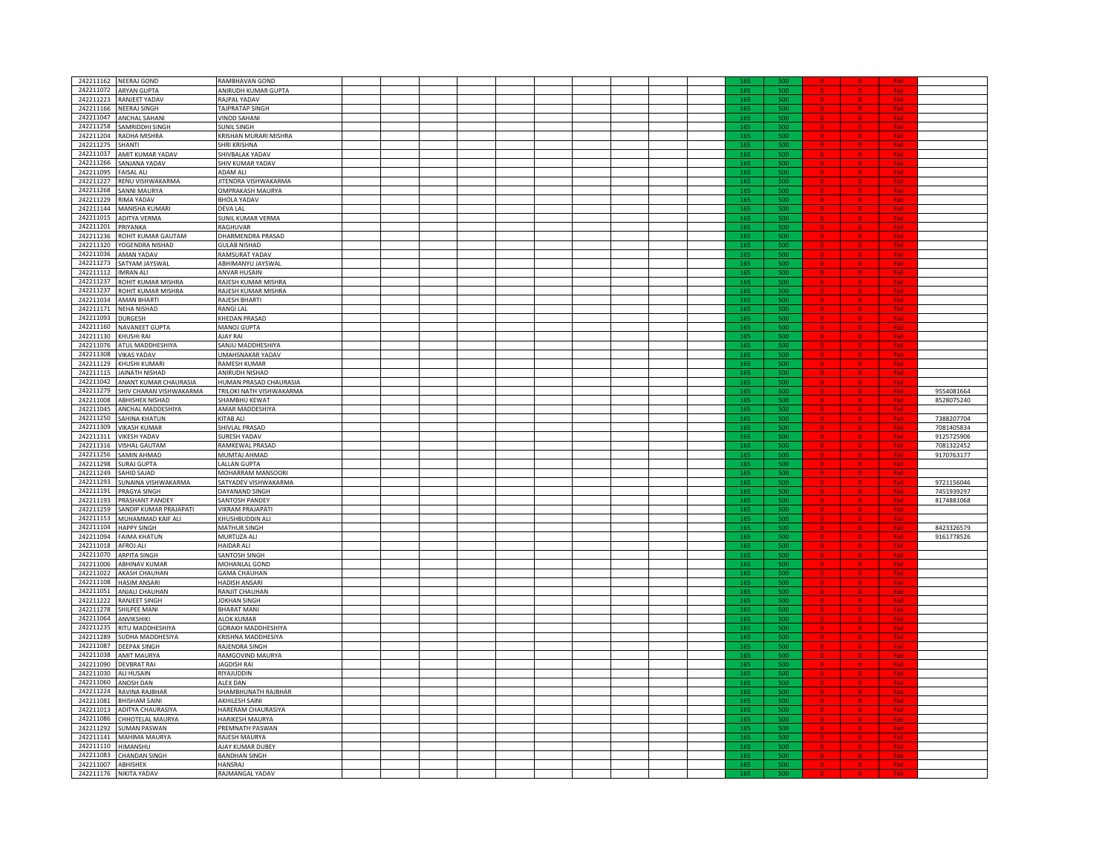|                      | 242211162 NEERAJ GOND        | RAMBHAVAN GOND              |  |  |  |  |  |     |     |  |            |            |
|----------------------|------------------------------|-----------------------------|--|--|--|--|--|-----|-----|--|------------|------------|
|                      | 242211072 ARYAN GUPTA        | ANIRUDH KUMAR GUPTA         |  |  |  |  |  |     |     |  |            |            |
|                      | 242211223 RANJEET YADAV      | RAJPAL YADAV                |  |  |  |  |  |     | 50  |  |            |            |
| 242211166            | NEERAJ SINGH                 | <b>TAJPRATAP SINGH</b>      |  |  |  |  |  | 165 | 500 |  |            |            |
| 242211047            | <b>ANCHAL SAHANI</b>         | <b>VINOD SAHANI</b>         |  |  |  |  |  | 165 | 500 |  | Fail       |            |
| 242211258            | SAMRIDDHI SINGH              | <b>SUNIL SINGH</b>          |  |  |  |  |  | 165 | 500 |  |            |            |
| 242211204            | RADHA MISHRA                 | KRISHAN MURARI MISHRA       |  |  |  |  |  | 165 | 500 |  |            |            |
|                      |                              |                             |  |  |  |  |  |     |     |  |            |            |
| 242211275            | SHANTI                       | SHRI KRISHNA                |  |  |  |  |  | 165 | 500 |  | Fai        |            |
|                      | 242211037 AMIT KUMAR YADAV   | SHIVBALAK YADAV             |  |  |  |  |  | 165 | 500 |  | Fai        |            |
| 242211266            | SANJANA YADAV                | SHIV KUMAR YADAV            |  |  |  |  |  | 165 | 500 |  |            |            |
| 242211095            | <b>FAISAL ALI</b>            | ADAM ALI                    |  |  |  |  |  | 165 | 500 |  |            |            |
| 242211227            | RENU VISHWAKARMA             | JITENDRA VISHWAKARMA        |  |  |  |  |  | 165 | 500 |  |            |            |
| 242211268            | <b>SANNI MAURYA</b>          | <b>OMPRAKASH MAURYA</b>     |  |  |  |  |  | 165 | 500 |  |            |            |
|                      |                              |                             |  |  |  |  |  |     |     |  |            |            |
| 242211229            | <b>RIMA YADAV</b>            | <b>BHOLA YADAV</b>          |  |  |  |  |  | 165 | 500 |  |            |            |
| 242211144            | MANISHA KUMARI               | DEVA LAL                    |  |  |  |  |  | 165 | 500 |  |            |            |
| 242211015            | <b>ADITYA VERMA</b>          | SUNIL KUMAR VERMA           |  |  |  |  |  | 165 | 500 |  |            |            |
| 242211201            | PRIYANKA                     | RAGHUVAR                    |  |  |  |  |  |     |     |  |            |            |
| 242211236            | ROHIT KUMAR GAUTAM           | DHARMENDRA PRASAD           |  |  |  |  |  | 165 | soc |  |            |            |
| 242211320            | YOGENDRA NISHAD              | <b>GULAB NISHAD</b>         |  |  |  |  |  | 165 | 500 |  | Fail       |            |
| 242211036            | <b>AMAN YADAV</b>            | RAMSURAT YADAV              |  |  |  |  |  | 165 | 500 |  | Fai        |            |
|                      |                              |                             |  |  |  |  |  |     |     |  |            |            |
| 242211273            | SATYAM JAYSWAL               | ABHIMANYU JAYSWAL           |  |  |  |  |  | 165 | sor |  |            |            |
| 242211112            | <b>IMRAN ALI</b>             | <b>ANVAR HUSAIN</b>         |  |  |  |  |  | 165 | 500 |  |            |            |
| 242211237            | ROHIT KUMAR MISHRA           | RAJESH KUMAR MISHRA         |  |  |  |  |  | 165 | 500 |  |            |            |
|                      | 242211237 ROHIT KUMAR MISHRA | RAJESH KUMAR MISHRA         |  |  |  |  |  | 165 | 500 |  | Fai        |            |
|                      | 242211034 AMAN BHARTI        | RAJESH BHARTI               |  |  |  |  |  | 165 | 500 |  |            |            |
|                      |                              |                             |  |  |  |  |  |     |     |  |            |            |
|                      | 242211171 NEHA NISHAD        | RANGI LAL                   |  |  |  |  |  | 165 | 500 |  |            |            |
| 242211093            | <b>DURGESH</b>               | KHEDAN PRASAD               |  |  |  |  |  | 165 | 500 |  |            |            |
| 242211160            | NAVANEET GUPTA               | MANOJ GUPTA                 |  |  |  |  |  | 165 | 500 |  |            |            |
| 242211130            | KHUSHI RAI                   | AJAY RAI                    |  |  |  |  |  | 165 | 500 |  |            |            |
| 242211076            | ATUL MADDHESHIYA             | <b>SANJU MADDHESHIYA</b>    |  |  |  |  |  | 165 | 500 |  |            |            |
| 242211308            | <b>VIKAS YADAV</b>           | JMAHSNAKAR YADAV            |  |  |  |  |  |     | 500 |  |            |            |
|                      |                              |                             |  |  |  |  |  |     |     |  |            |            |
|                      | 242211129 KHUSHI KUMARI      | RAMESH KUMAR                |  |  |  |  |  |     |     |  |            |            |
| 242211115            | <b>JAINATH NISHAD</b>        | ANIRUDH NISHAD              |  |  |  |  |  | 165 | 500 |  |            |            |
| 242211042            | ANANT KUMAR CHAURASIA        | HUMAN PRASAD CHAURASIA      |  |  |  |  |  | 165 | 500 |  | Fail       |            |
| 242211279            | SHIV CHARAN VISHWAKARMA      | TRILOKI NATH VISHWAKARMA    |  |  |  |  |  | 165 | 500 |  |            | 9554081664 |
| 242211008            | <b>ABHISHEK NISHAD</b>       | SHAMBHU KEWAT               |  |  |  |  |  | 165 | 50  |  |            | 8528075240 |
|                      |                              |                             |  |  |  |  |  |     |     |  |            |            |
| 242211045            | ANCHAL MADDESHIYA            | AMAR MADDESHIYA             |  |  |  |  |  | 165 | 500 |  |            |            |
| 242211250            | <b>SAHINA KHATUN</b>         | KITAB ALI                   |  |  |  |  |  | 165 | 500 |  |            | 7388207704 |
|                      | 242211309 VIKASH KUMAR       | SHIVLAL PRASAD              |  |  |  |  |  | 165 | 500 |  | Fai        | 7081405834 |
|                      | 242211311 VIKESH YADAV       | SURESH YADAV                |  |  |  |  |  | 165 | 500 |  | Fail       | 9125725906 |
|                      | 242211316 VISHAL GAUTAM      | RAMKEWAL PRASAD             |  |  |  |  |  | 165 | 500 |  |            | 7081322452 |
| 242211256            | SAMIN AHMAD                  | MUMTAJ AHMAD                |  |  |  |  |  | 165 | 500 |  |            | 9170763177 |
| 242211298            |                              |                             |  |  |  |  |  |     |     |  |            |            |
|                      | <b>SURAJ GUPTA</b>           | LALLAN GUPTA                |  |  |  |  |  | 165 | 500 |  |            |            |
| 242211249            | SAHID SAJAD                  | MOHARRAM MANSOORI           |  |  |  |  |  | 165 | 500 |  |            |            |
| 242211293            | SUNAINA VISHWAKARMA          | <b>SATYADEV VISHWAKARMA</b> |  |  |  |  |  | 165 | 500 |  |            | 9721156046 |
| 242211191            | <b>PRAGYA SINGH</b>          | DAYANAND SINGH              |  |  |  |  |  |     | 500 |  |            | 7451939297 |
|                      | 242211193 PRASHANT PANDEY    | SANTOSH PANDEY              |  |  |  |  |  |     | 500 |  |            | 8174881068 |
| 242211259            | SANDIP KUMAR PRAJAPATI       | VIKRAM PRAJAPATI            |  |  |  |  |  |     | 5OC |  |            |            |
|                      |                              |                             |  |  |  |  |  |     | soc |  |            |            |
| 242211153            | MUHAMMAD KAIF ALI            | KHUSHBUDDIN ALI             |  |  |  |  |  |     |     |  |            |            |
| 242211104            | <b>HAPPY SINGH</b>           | MATHUR SINGH                |  |  |  |  |  | 165 | 500 |  |            | 8423326579 |
| 242211094            | <b>FAIMA KHATUN</b>          | MURTUZA ALI                 |  |  |  |  |  | 165 | 500 |  | Fail       | 9161778526 |
| 242211018            | AFROJ ALI                    | <b>HAIDAR ALI</b>           |  |  |  |  |  | 165 | sor |  |            |            |
| 242211070            | <b>ARPITA SINGH</b>          | <b>SANTOSH SINGH</b>        |  |  |  |  |  | 165 | 500 |  |            |            |
| 242211006            | ABHINAV KUMAR                | MOHANLAL GOND               |  |  |  |  |  | 165 | 500 |  | Fail       |            |
|                      | 242211022 AKASH CHAUHAN      | <b>GAMA CHAUHAN</b>         |  |  |  |  |  | 165 | 500 |  |            |            |
|                      |                              |                             |  |  |  |  |  |     |     |  | Fail       |            |
|                      | 242211108 HASIM ANSARI       | HADISH ANSARI               |  |  |  |  |  | 165 | 500 |  |            |            |
| 242211051            | ANJALI CHAUHAN               | RANJIT CHAUHAN              |  |  |  |  |  | 165 | 500 |  |            |            |
| 242211222            | <b>RANJEET SINGH</b>         | <b>OKHAN SINGH</b>          |  |  |  |  |  | 165 | 500 |  |            |            |
|                      | 242211278 SHILPEE MANI       | <b>BHARAT MANI</b>          |  |  |  |  |  | 165 | 500 |  |            |            |
| 242211064 ANVIKSHIKI |                              | ALOK KUMAR                  |  |  |  |  |  | 165 | 500 |  |            |            |
| 242211235            |                              | <b>GORAKH MADDHESHIYA</b>   |  |  |  |  |  | 165 | 500 |  |            |            |
|                      | <b>ITU MADDHESHIYA</b>       |                             |  |  |  |  |  |     |     |  |            |            |
| 242211289            | SUDHA MADDHESIYA             | KRISHNA MADDHESIYA          |  |  |  |  |  | 165 | 500 |  |            |            |
| 242211087            | <b>DEEPAK SINGH</b>          | RAJENDRA SINGH              |  |  |  |  |  |     |     |  |            |            |
|                      | 242211038 AMIT MAURYA        | RAMGOVIND MAURYA            |  |  |  |  |  | 140 | 500 |  |            |            |
| 242211090            | <b>DEVBRAT RAI</b>           | JAGDISH RAI                 |  |  |  |  |  | 165 | 500 |  | <b>Foi</b> |            |
| 242211030            | ALI HUSAIN                   | RIYAJUDDIN                  |  |  |  |  |  | 165 | 500 |  |            |            |
|                      |                              |                             |  |  |  |  |  | 165 | sor |  |            |            |
| 242211060            | ANOSH DAN                    | <b>ALEX DAN</b>             |  |  |  |  |  |     |     |  |            |            |
| 242211224            | RAVINA RAJBHAR               | SHAMBHUNATH RAJBHAR         |  |  |  |  |  | 165 | 500 |  |            |            |
| 242211081            | <b>BHISHAM SAINI</b>         | <b>AKHILESH SAINI</b>       |  |  |  |  |  | 165 | 500 |  |            |            |
|                      | 242211013 ADITYA CHAURASIYA  | HARERAM CHAURASIYA          |  |  |  |  |  | 165 | 500 |  | Fai        |            |
|                      | 242211086 CHHOTELAL MAURYA   | HARIKESH MAURYA             |  |  |  |  |  | 165 | 500 |  |            |            |
|                      |                              |                             |  |  |  |  |  |     |     |  |            |            |
|                      | 242211292 SUMAN PASWAN       | PREMNATH PASWAN             |  |  |  |  |  | 165 | 500 |  |            |            |
| 242211141            | MAHIMA MAURYA                | RAIFSH MAURYA               |  |  |  |  |  | 165 | 500 |  |            |            |
| 242211110 HIMANSHU   |                              | AJAY KUMAR DUBEY            |  |  |  |  |  | 165 | 500 |  |            |            |
| 242211083            | <b>CHANDAN SINGH</b>         | <b>BANDHAN SINGH</b>        |  |  |  |  |  | 165 | 500 |  |            |            |
| 242211007 ABHISHEK   |                              | HANSRAJ                     |  |  |  |  |  | 165 | 500 |  |            |            |
|                      | 242211176 NIKITA YADAV       | RAJMANGAL YADAV             |  |  |  |  |  |     |     |  |            |            |
|                      |                              |                             |  |  |  |  |  |     |     |  |            |            |